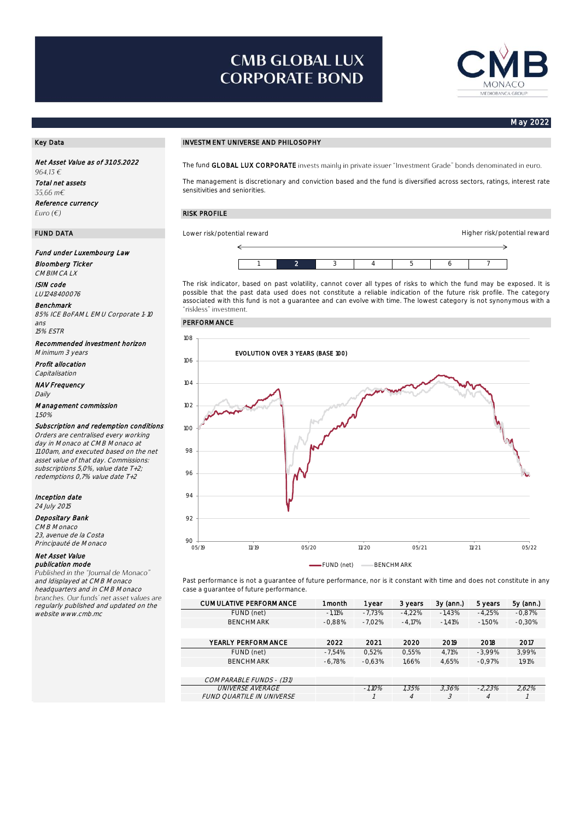# **CMB GLOBAL LUX CORPORATE BOND**



Higher risk/potential reward

### May 2022

Net Asset Value as of 31.05.2022 964,13€ Total net assets  $.5566 \text{ m}$ € Reference currency Euro  $(\epsilon)$ 

### Fund under Luxembourg Law

Bloomberg Ticker CMBIMCA LX

ISIN code LU1248400076

Benchmark 85% ICE BoFAML EMU Corporate 1-10 ans

15% ESTR

Recommended investment horizon Minimum 3 years

Profit allocation Capitalisation

NAV Frequency Daily

### Management commission 1,50%

## Subscription and redemption conditions

Orders are centralised every working day in Monaco at CMB Monaco at 11.00am, and executed based on the net asset value of that day. Commissions: subscriptions 5,0%, value date T+2; redemptions 0,7% value date T+2

# Inception date

24 July 2015

# Depositary Bank

CMB Monaco 23, avenue de la Costa Principauté de Monaco

### Net Asset Value publication mode

Published in the "Journal de Monaco" and ldisplayed at CMB Monaco headquarters and in CMB Monaco branches. Our funds' net asset values are regularly published and updated on the website www.cmb.mc

## Key Data Investment UNIVESTMENT UNIVERSE AND PHILOSOPHY

The fund GLOBAL LUX CORPORATE invests mainly in private issuer "Investment Grade" bonds denominated in euro.

The management is discretionary and conviction based and the fund is diversified across sectors, ratings, interest rate sensitivities and seniorities.

## RISK PROFILE

FUND DATA Lower risk/potential reward



The risk indicator, based on past volatility, cannot cover all types of risks to which the fund may be exposed. It is possible that the past data used does not constitute a reliable indication of the future risk profile. The category associated with this fund is not a guarantee and can evolve with time. The lowest category is not synonymous with a

### PERFORMANCE



Past performance is not a guarantee of future performance, nor is it constant with time and does not constitute in any case a guarantee of future performance.

| <b>CUMULATIVE PERFORMANCE</b> | 1 month  | 1 year    | 3 years  | $3y$ (ann.) | 5 years  | 5y (ann.) |
|-------------------------------|----------|-----------|----------|-------------|----------|-----------|
| FUND (net)                    | $-1.11%$ | $-7.73%$  | $-4.22%$ | $-1.43%$    | $-4,25%$ | $-0.87%$  |
| <b>BENCHMARK</b>              | $-0.88%$ | $-7.02%$  | $-4.17%$ | $-1.41%$    | $-1.50%$ | $-0.30%$  |
|                               |          |           |          |             |          |           |
| YEARLY PERFORMANCE            | 2022     | 2021      | 2020     | 2019        | 2018     | 2017      |
| FUND (net)                    | $-7.54%$ | 0.52%     | 0.55%    | 4.71%       | $-3.99%$ | 3.99%     |
| <b>BENCHMARK</b>              | $-6.78%$ | $-0.63%$  | 1.66%    | 4.65%       | $-0.97%$ | 1.91%     |
|                               |          |           |          |             |          |           |
| COMPARABLE FUNDS - (131)      |          |           |          |             |          |           |
| <i>UNIVERSE AVERAGE</i>       |          | $-1.10\%$ | 1.35%    | 3.36%       | $-2.23%$ | 2.62%     |
| FUND QUARTILE IN UNIVERSE     |          |           | 4        |             | 4        |           |